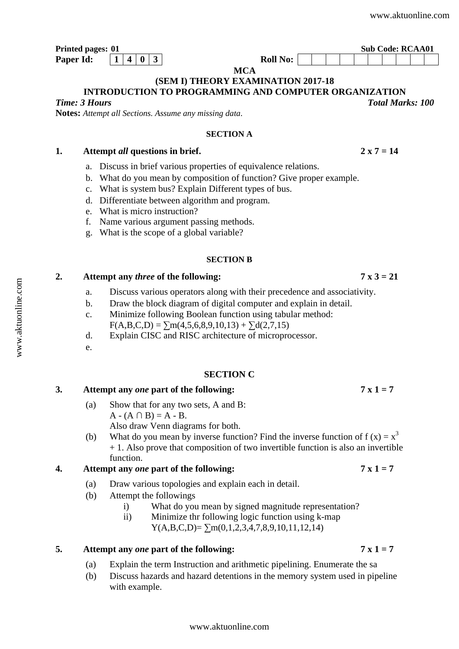*Total Marks: 100*

# **INTRODUCTION TO PROGRAMMING AND COMPUTER ORGANIZATION**

*Time: 3 Hours* 

**Notes:** *Attempt all Sections. Assume any missing data*.

### **SECTION A**

**MCA (SEM I) THEORY EXAMINATION 2017-18** 

## 1. Attempt *all* questions in brief. 2 x  $7 = 14$

- a. Discuss in brief various properties of equivalence relations.
- b. What do you mean by composition of function? Give proper example.
- c. What is system bus? Explain Different types of bus.
- d. Differentiate between algorithm and program.
- e. What is micro instruction?
- f. Name various argument passing methods.
- g. What is the scope of a global variable?

### **SECTION B**

## **2. Attempt any** *three* **of the following: 7 x 3 = 21**

- a. Discuss various operators along with their precedence and associativity.
- b. Draw the block diagram of digital computer and explain in detail.
- c. Minimize following Boolean function using tabular method:  $F(A,B,C,D) = \sum m(4,5,6,8,9,10,13) + \sum d(2,7,15)$
- d. Explain CISC and RISC architecture of microprocessor.
- e.

## **SECTION C**

# **3. Attempt any** *one* **part of the following: 7 x 1 = 7**

- (a) Show that for any two sets, A and B:  $A - (A \cap B) = A - B$ . Also draw Venn diagrams for both.
- (b) What do you mean by inverse function? Find the inverse function of  $f(x) = x<sup>3</sup>$ + 1. Also prove that composition of two invertible function is also an invertible function.

# **4. Attempt any** *one* **part of the following: 7 x 1 = 7**

- (a) Draw various topologies and explain each in detail.
- (b) Attempt the followings
	- i) What do you mean by signed magnitude representation?
	- ii) Minimize thr following logic function using k-map  $Y(A,B,C,D) = \sum m(0,1,2,3,4,7,8,9,10,11,12,14)$

## 5. Attempt any *one* part of the following:  $7 \times 1 = 7$

(a) Explain the term Instruction and arithmetic pipelining. Enumerate the sa

[www.aktuonline.com](http://www.aktuonline.com)

(b) Discuss hazards and hazard detentions in the memory system used in pipeline with example.

**Printed pages: 01** Sub Code: RCAA01 **Paper Id:**  $\begin{array}{|c|c|c|} \hline 1 & 4 & 0 & 3 \end{array}$  Roll No: